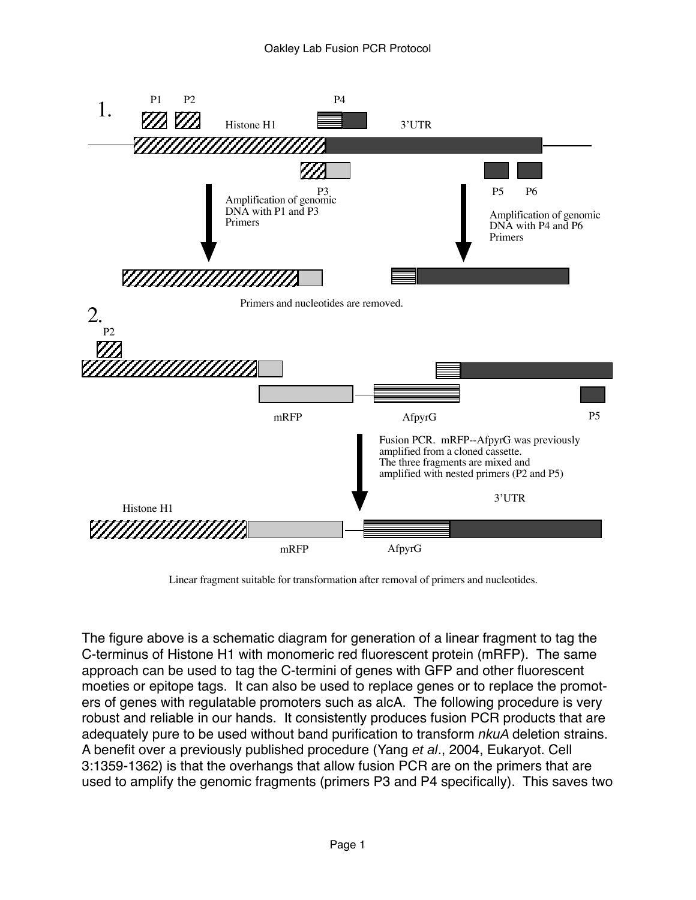

Linear fragment suitable for transformation after removal of primers and nucleotides.

The figure above is a schematic diagram for generation of a linear fragment to tag the C-terminus of Histone H1 with monomeric red fluorescent protein (mRFP). The same approach can be used to tag the C-termini of genes with GFP and other fluorescent moeties or epitope tags. It can also be used to replace genes or to replace the promoters of genes with regulatable promoters such as alcA. The following procedure is very robust and reliable in our hands. It consistently produces fusion PCR products that are adequately pure to be used without band purification to transform nkuA deletion strains. A benefit over a previously published procedure (Yang et al., 2004, Eukaryot. Cell 3:1359-1362) is that the overhangs that allow fusion PCR are on the primers that are used to amplify the genomic fragments (primers P3 and P4 specifically). This saves two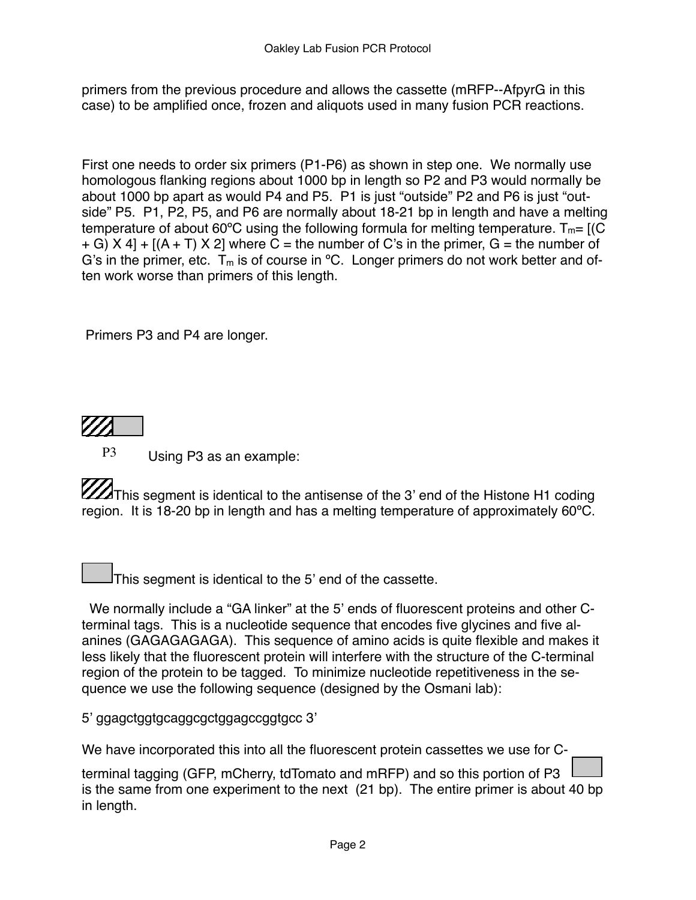primers from the previous procedure and allows the cassette (mRFP--AfpyrG in this case) to be amplified once, frozen and aliquots used in many fusion PCR reactions.

First one needs to order six primers (P1-P6) as shown in step one. We normally use homologous flanking regions about 1000 bp in length so P2 and P3 would normally be about 1000 bp apart as would P4 and P5. P1 is just "outside" P2 and P6 is just "outside" P5. P1, P2, P5, and P6 are normally about 18-21 bp in length and have a melting temperature of about 60°C using the following formula for melting temperature.  $T_m = [(C \times C)^2]$  $+$  G) X 4]  $+$  [(A  $+$  T) X 2] where C = the number of C's in the primer, G = the number of G's in the primer, etc.  $T_m$  is of course in <sup>o</sup>C. Longer primers do not work better and often work worse than primers of this length.

Primers P3 and P4 are longer.



P3 Using P3 as an example:

This segment is identical to the antisense of the 3' end of the Histone H1 coding region. It is 18-20 bp in length and has a melting temperature of approximately 60ºC.

This segment is identical to the 5' end of the cassette.

 We normally include a "GA linker" at the 5' ends of fluorescent proteins and other Cterminal tags. This is a nucleotide sequence that encodes five glycines and five alanines (GAGAGAGAGA). This sequence of amino acids is quite flexible and makes it less likely that the fluorescent protein will interfere with the structure of the C-terminal region of the protein to be tagged. To minimize nucleotide repetitiveness in the sequence we use the following sequence (designed by the Osmani lab):

5' ggagctggtgcaggcgctggagccggtgcc 3'

We have incorporated this into all the fluorescent protein cassettes we use for C-

terminal tagging (GFP, mCherry, tdTomato and mRFP) and so this portion of P3 is the same from one experiment to the next (21 bp). The entire primer is about 40 bp in length.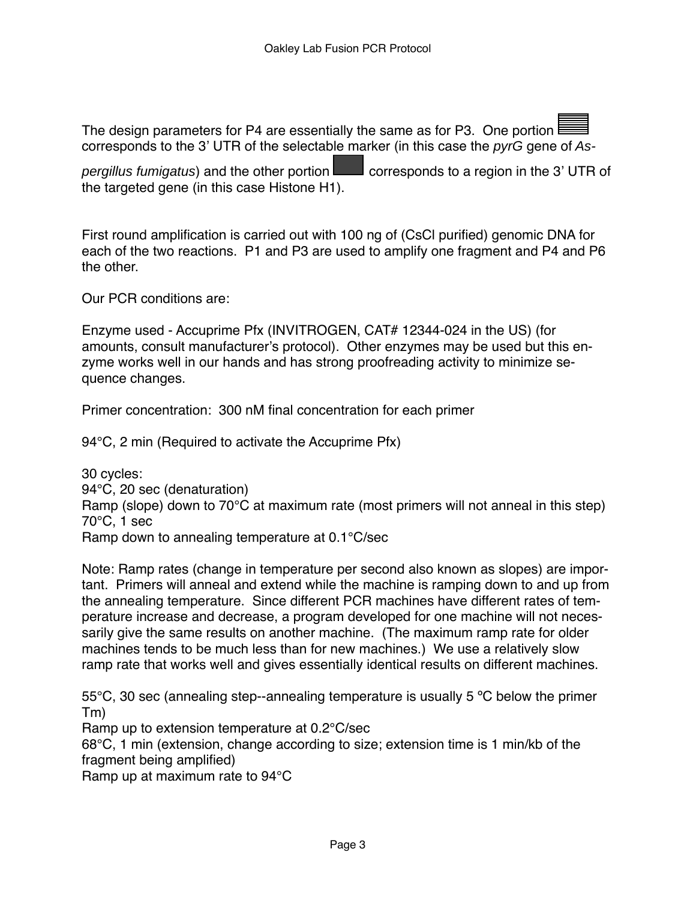The design parameters for P4 are essentially the same as for P3. One portion corresponds to the 3' UTR of the selectable marker (in this case the pyrG gene of As-

pergillus fumigatus) and the other portion  $\Box$  corresponds to a region in the 3' UTR of the targeted gene (in this case Histone H1).

First round amplification is carried out with 100 ng of (CsCl purified) genomic DNA for each of the two reactions. P1 and P3 are used to amplify one fragment and P4 and P6 the other.

Our PCR conditions are:

Enzyme used - Accuprime Pfx (INVITROGEN, CAT# 12344-024 in the US) (for amounts, consult manufacturer's protocol). Other enzymes may be used but this enzyme works well in our hands and has strong proofreading activity to minimize sequence changes.

Primer concentration: 300 nM final concentration for each primer

94°C, 2 min (Required to activate the Accuprime Pfx)

30 cycles: 94°C, 20 sec (denaturation) Ramp (slope) down to 70°C at maximum rate (most primers will not anneal in this step) 70°C, 1 sec Ramp down to annealing temperature at 0.1°C/sec

Note: Ramp rates (change in temperature per second also known as slopes) are important. Primers will anneal and extend while the machine is ramping down to and up from the annealing temperature. Since different PCR machines have different rates of temperature increase and decrease, a program developed for one machine will not necessarily give the same results on another machine. (The maximum ramp rate for older machines tends to be much less than for new machines.) We use a relatively slow ramp rate that works well and gives essentially identical results on different machines.

55°C, 30 sec (annealing step--annealing temperature is usually 5 ºC below the primer Tm)

Ramp up to extension temperature at 0.2°C/sec

68°C, 1 min (extension, change according to size; extension time is 1 min/kb of the fragment being amplified)

Ramp up at maximum rate to 94°C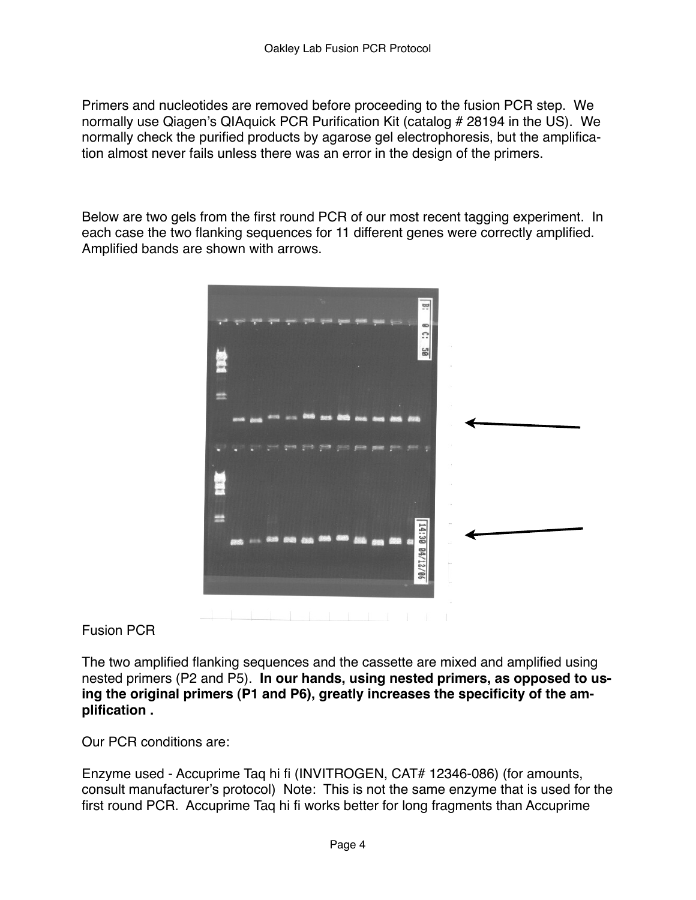Primers and nucleotides are removed before proceeding to the fusion PCR step. We normally use Qiagen's QIAquick PCR Purification Kit (catalog # 28194 in the US). We normally check the purified products by agarose gel electrophoresis, but the amplification almost never fails unless there was an error in the design of the primers.

Below are two gels from the first round PCR of our most recent tagging experiment. In each case the two flanking sequences for 11 different genes were correctly amplified. Amplified bands are shown with arrows.



Fusion PCR

The two amplified flanking sequences and the cassette are mixed and amplified using nested primers (P2 and P5). **In our hands, using nested primers, as opposed to using the original primers (P1 and P6), greatly increases the specificity of the amplification .**

Our PCR conditions are:

Enzyme used - Accuprime Taq hi fi (INVITROGEN, CAT# 12346-086) (for amounts, consult manufacturer's protocol) Note: This is not the same enzyme that is used for the first round PCR. Accuprime Taq hi fi works better for long fragments than Accuprime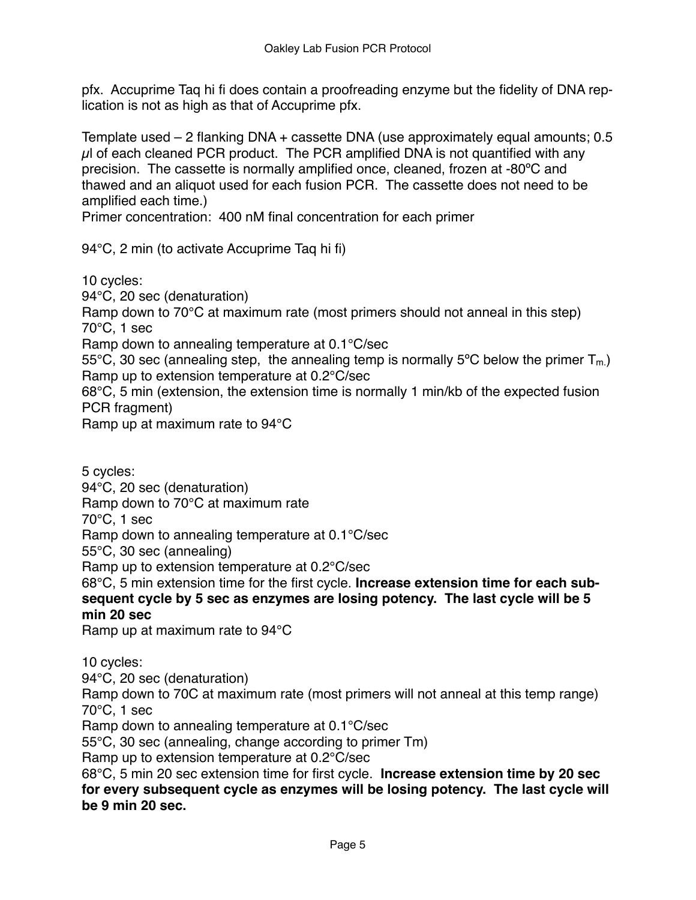pfx. Accuprime Taq hi fi does contain a proofreading enzyme but the fidelity of DNA replication is not as high as that of Accuprime pfx.

Template used – 2 flanking DNA + cassette DNA (use approximately equal amounts; 0.5  $\mu$ l of each cleaned PCR product. The PCR amplified DNA is not quantified with any precision. The cassette is normally amplified once, cleaned, frozen at -80ºC and thawed and an aliquot used for each fusion PCR. The cassette does not need to be amplified each time.)

Primer concentration: 400 nM final concentration for each primer

94°C, 2 min (to activate Accuprime Taq hi fi)

10 cycles:

94°C, 20 sec (denaturation) Ramp down to 70°C at maximum rate (most primers should not anneal in this step) 70°C, 1 sec Ramp down to annealing temperature at 0.1°C/sec 55°C, 30 sec (annealing step, the annealing temp is normally 5°C below the primer  $T_{m}$ ) Ramp up to extension temperature at 0.2°C/sec 68°C, 5 min (extension, the extension time is normally 1 min/kb of the expected fusion PCR fragment) Ramp up at maximum rate to 94°C

5 cycles: 94°C, 20 sec (denaturation) Ramp down to 70°C at maximum rate 70°C, 1 sec Ramp down to annealing temperature at 0.1°C/sec 55°C, 30 sec (annealing) Ramp up to extension temperature at 0.2°C/sec 68°C, 5 min extension time for the first cycle. **Increase extension time for each sub-**

## **sequent cycle by 5 sec as enzymes are losing potency. The last cycle will be 5 min 20 sec**

Ramp up at maximum rate to 94°C

10 cycles:

94°C, 20 sec (denaturation)

Ramp down to 70C at maximum rate (most primers will not anneal at this temp range) 70°C, 1 sec

Ramp down to annealing temperature at 0.1°C/sec

55°C, 30 sec (annealing, change according to primer Tm)

Ramp up to extension temperature at 0.2°C/sec

68°C, 5 min 20 sec extension time for first cycle. **Increase extension time by 20 sec for every subsequent cycle as enzymes will be losing potency. The last cycle will be 9 min 20 sec.**